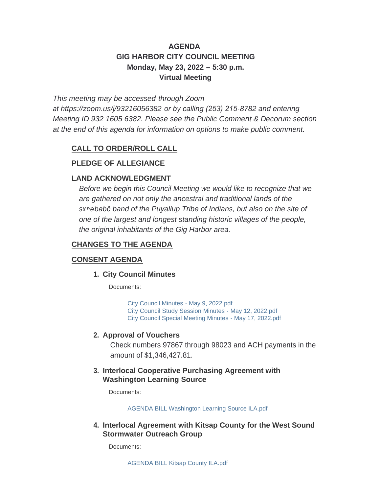# **AGENDA GIG HARBOR CITY COUNCIL MEETING Monday, May 23, 2022 – 5:30 p.m. Virtual Meeting**

*This meeting may be accessed through Zoom* 

*at <https://zoom.us/j/93216056382> or by calling (253) 215-8782 and entering Meeting ID 932 1605 6382. Please see the Public Comment & Decorum section at the end of this agenda for information on options to make public comment.*

## **CALL TO ORDER/ROLL CALL**

## **PLEDGE OF ALLEGIANCE**

## **LAND ACKNOWLEDGMENT**

*Before we begin this Council Meeting we would like to recognize that we are gathered on not only the ancestral and traditional lands of the sxʷəbabč band of the Puyallup Tribe of Indians, but also on the site of one of the largest and longest standing historic villages of the people, the original inhabitants of the Gig Harbor area.*

## **CHANGES TO THE AGENDA**

## **CONSENT AGENDA**

### **City Council Minutes 1.**

Documents:

[City Council Minutes - May 9, 2022.pdf](http://www.cityofgigharbor.net/AgendaCenter/ViewFile/Item/988?fileID=1927) [City Council Study Session Minutes - May 12, 2022.pdf](http://www.cityofgigharbor.net/AgendaCenter/ViewFile/Item/988?fileID=1928) [City Council Special Meeting Minutes - May 17, 2022.pdf](http://www.cityofgigharbor.net/AgendaCenter/ViewFile/Item/988?fileID=1929)

#### **Approval of Vouchers 2.**

Check numbers 97867 through 98023 and ACH payments in the amount of \$1,346,427.81.

#### **Interlocal Cooperative Purchasing Agreement with 3. Washington Learning Source**

Documents:

[AGENDA BILL Washington Learning Source ILA.pdf](http://www.cityofgigharbor.net/AgendaCenter/ViewFile/Item/989?fileID=1934)

#### **Interlocal Agreement with Kitsap County for the West Sound 4. Stormwater Outreach Group**

Documents: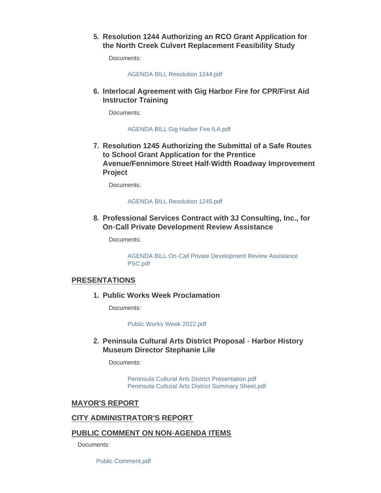**Resolution 1244 Authorizing an RCO Grant Application for 5. the North Creek Culvert Replacement Feasibility Study**

Documents:

[AGENDA BILL Resolution 1244.pdf](http://www.cityofgigharbor.net/AgendaCenter/ViewFile/Item/990?fileID=1938)

**Interlocal Agreement with Gig Harbor Fire for CPR/First Aid 6. Instructor Training**

Documents:

[AGENDA BILL Gig Harbor Fire ILA.pdf](http://www.cityofgigharbor.net/AgendaCenter/ViewFile/Item/994?fileID=1932)

**Resolution 1245 Authorizing the Submittal of a Safe Routes 7. to School Grant Application for the Prentice Avenue/Fennimore Street Half-Width Roadway Improvement Project** 

Documents:

#### [AGENDA BILL Resolution 1245.pdf](http://www.cityofgigharbor.net/AgendaCenter/ViewFile/Item/993?fileID=1937)

**Professional Services Contract with 3J Consulting, Inc., for 8. On-Call Private Development Review Assistance**

Documents:

[AGENDA BILL On-Call Private Development Review Assistance](http://www.cityofgigharbor.net/AgendaCenter/ViewFile/Item/991?fileID=1935)  PSC.pdf

#### **PRESENTATIONS**

**Public Works Week Proclamation 1.**

Documents:

[Public Works Week 2022.pdf](http://www.cityofgigharbor.net/AgendaCenter/ViewFile/Item/997?fileID=1940)

#### **Peninsula Cultural Arts District Proposal - Harbor History 2. Museum Director Stephanie Lile**

Documents:

[Peninsula Cultural Arts District Presentation.pdf](http://www.cityofgigharbor.net/AgendaCenter/ViewFile/Item/996?fileID=1942) [Peninsula Cultural Arts District Summary Sheet.pdf](http://www.cityofgigharbor.net/AgendaCenter/ViewFile/Item/996?fileID=1943)

#### **MAYOR'S REPORT**

#### **CITY ADMINISTRATOR'S REPORT**

#### **PUBLIC COMMENT ON NON-AGENDA ITEMS**

Documents:

[Public Comment.pdf](http://www.cityofgigharbor.net/AgendaCenter/ViewFile/Item/982?fileID=1948)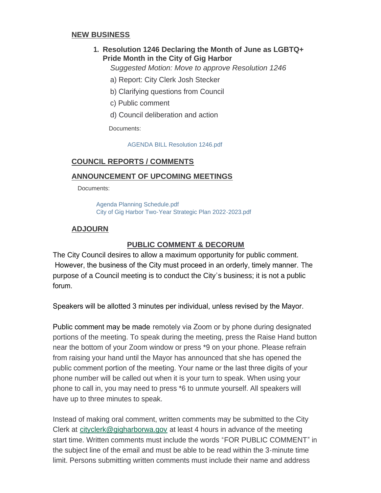#### **NEW BUSINESS**

## **Resolution 1246 Declaring the Month of June as LGBTQ+ 1. Pride Month in the City of Gig Harbor**

*Suggested Motion: Move to approve Resolution 1246*

- a) Report: City Clerk Josh Stecker
- b) Clarifying questions from Council
- c) Public comment
- d) Council deliberation and action

Documents:

[AGENDA BILL Resolution 1246.pdf](http://www.cityofgigharbor.net/AgendaCenter/ViewFile/Item/995?fileID=1941)

## **COUNCIL REPORTS / COMMENTS**

#### **ANNOUNCEMENT OF UPCOMING MEETINGS**

Documents:

[Agenda Planning Schedule.pdf](http://www.cityofgigharbor.net/AgendaCenter/ViewFile/Item/985?fileID=1930) [City of Gig Harbor Two-Year Strategic Plan 2022-2023.pdf](http://www.cityofgigharbor.net/AgendaCenter/ViewFile/Item/985?fileID=1931)

## **ADJOURN**

#### **PUBLIC COMMENT & DECORUM**

The City Council desires to allow a maximum opportunity for public comment. However, the business of the City must proceed in an orderly, timely manner. The purpose of a Council meeting is to conduct the City's business; it is not a public forum.

Speakers will be allotted 3 minutes per individual, unless revised by the Mayor.

Public comment may be made remotely via Zoom or by phone during designated portions of the meeting. To speak during the meeting, press the Raise Hand button near the bottom of your Zoom window or press \*9 on your phone. Please refrain from raising your hand until the Mayor has announced that she has opened the public comment portion of the meeting. Your name or the last three digits of your phone number will be called out when it is your turn to speak. When using your phone to call in, you may need to press \*6 to unmute yourself. All speakers will have up to three minutes to speak.

Instead of making oral comment, written comments may be submitted to the City Clerk at [cityclerk@gigharborwa.gov](mailto:cityclerk@gigharborwa.gov) at least 4 hours in advance of the meeting start time. Written comments must include the words "FOR PUBLIC COMMENT" in the subject line of the email and must be able to be read within the 3-minute time limit. Persons submitting written comments must include their name and address